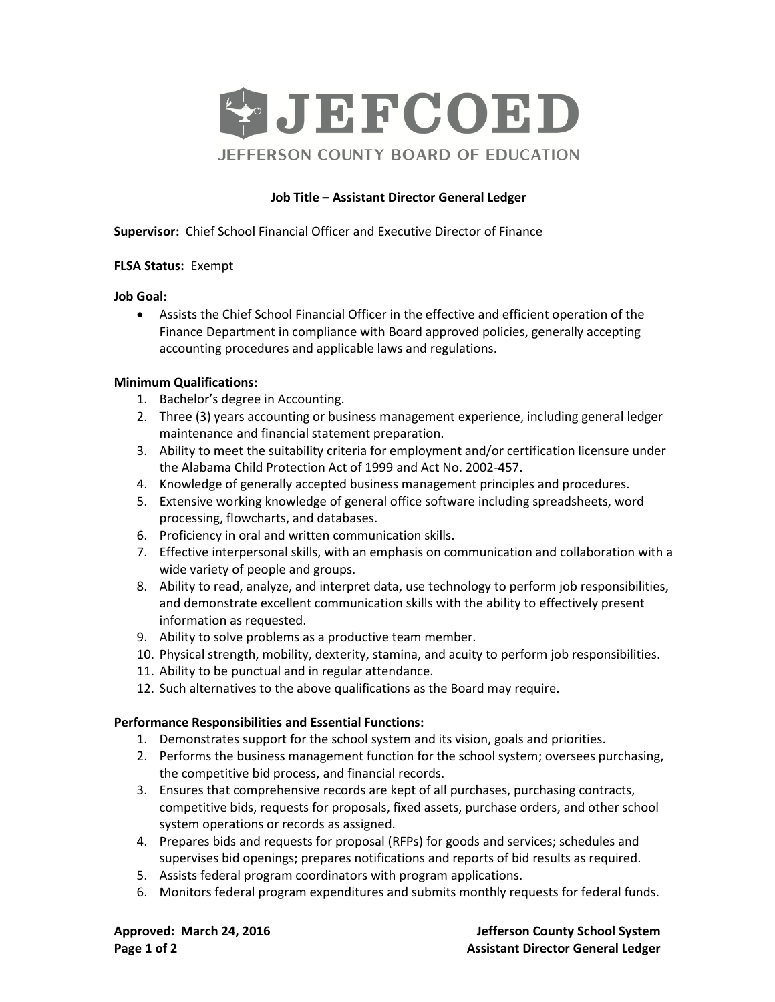

# **Job Title – Assistant Director General Ledger**

**Supervisor:** Chief School Financial Officer and Executive Director of Finance

## **FLSA Status:** Exempt

### **Job Goal:**

 Assists the Chief School Financial Officer in the effective and efficient operation of the Finance Department in compliance with Board approved policies, generally accepting accounting procedures and applicable laws and regulations.

## **Minimum Qualifications:**

- 1. Bachelor's degree in Accounting.
- 2. Three (3) years accounting or business management experience, including general ledger maintenance and financial statement preparation.
- 3. Ability to meet the suitability criteria for employment and/or certification licensure under the Alabama Child Protection Act of 1999 and Act No. 2002-457.
- 4. Knowledge of generally accepted business management principles and procedures.
- 5. Extensive working knowledge of general office software including spreadsheets, word processing, flowcharts, and databases.
- 6. Proficiency in oral and written communication skills.
- 7. Effective interpersonal skills, with an emphasis on communication and collaboration with a wide variety of people and groups.
- 8. Ability to read, analyze, and interpret data, use technology to perform job responsibilities, and demonstrate excellent communication skills with the ability to effectively present information as requested.
- 9. Ability to solve problems as a productive team member.
- 10. Physical strength, mobility, dexterity, stamina, and acuity to perform job responsibilities.
- 11. Ability to be punctual and in regular attendance.
- 12. Such alternatives to the above qualifications as the Board may require.

## **Performance Responsibilities and Essential Functions:**

- 1. Demonstrates support for the school system and its vision, goals and priorities.
- 2. Performs the business management function for the school system; oversees purchasing, the competitive bid process, and financial records.
- 3. Ensures that comprehensive records are kept of all purchases, purchasing contracts, competitive bids, requests for proposals, fixed assets, purchase orders, and other school system operations or records as assigned.
- 4. Prepares bids and requests for proposal (RFPs) for goods and services; schedules and supervises bid openings; prepares notifications and reports of bid results as required.
- 5. Assists federal program coordinators with program applications.
- 6. Monitors federal program expenditures and submits monthly requests for federal funds.